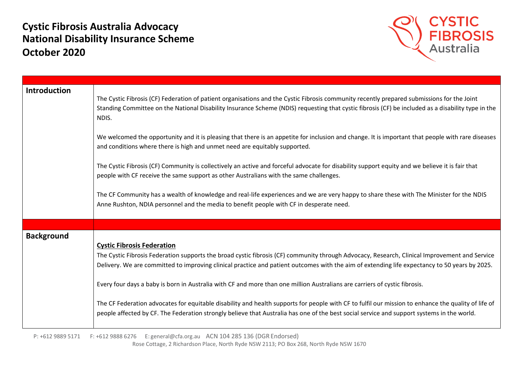## **Cystic Fibrosis Australia Advocacy National Disability Insurance Scheme October 2020**



| <b>Introduction</b> | The Cystic Fibrosis (CF) Federation of patient organisations and the Cystic Fibrosis community recently prepared submissions for the Joint<br>Standing Committee on the National Disability Insurance Scheme (NDIS) requesting that cystic fibrosis (CF) be included as a disability type in the<br>NDIS.                                                                                                                                                                                                                                                                                                                                                                                                                                                              |
|---------------------|------------------------------------------------------------------------------------------------------------------------------------------------------------------------------------------------------------------------------------------------------------------------------------------------------------------------------------------------------------------------------------------------------------------------------------------------------------------------------------------------------------------------------------------------------------------------------------------------------------------------------------------------------------------------------------------------------------------------------------------------------------------------|
|                     | We welcomed the opportunity and it is pleasing that there is an appetite for inclusion and change. It is important that people with rare diseases<br>and conditions where there is high and unmet need are equitably supported.                                                                                                                                                                                                                                                                                                                                                                                                                                                                                                                                        |
|                     | The Cystic Fibrosis (CF) Community is collectively an active and forceful advocate for disability support equity and we believe it is fair that<br>people with CF receive the same support as other Australians with the same challenges.                                                                                                                                                                                                                                                                                                                                                                                                                                                                                                                              |
|                     | The CF Community has a wealth of knowledge and real-life experiences and we are very happy to share these with The Minister for the NDIS<br>Anne Rushton, NDIA personnel and the media to benefit people with CF in desperate need.                                                                                                                                                                                                                                                                                                                                                                                                                                                                                                                                    |
|                     |                                                                                                                                                                                                                                                                                                                                                                                                                                                                                                                                                                                                                                                                                                                                                                        |
| <b>Background</b>   | <b>Cystic Fibrosis Federation</b><br>The Cystic Fibrosis Federation supports the broad cystic fibrosis (CF) community through Advocacy, Research, Clinical Improvement and Service<br>Delivery. We are committed to improving clinical practice and patient outcomes with the aim of extending life expectancy to 50 years by 2025.<br>Every four days a baby is born in Australia with CF and more than one million Australians are carriers of cystic fibrosis.<br>The CF Federation advocates for equitable disability and health supports for people with CF to fulfil our mission to enhance the quality of life of<br>people affected by CF. The Federation strongly believe that Australia has one of the best social service and support systems in the world. |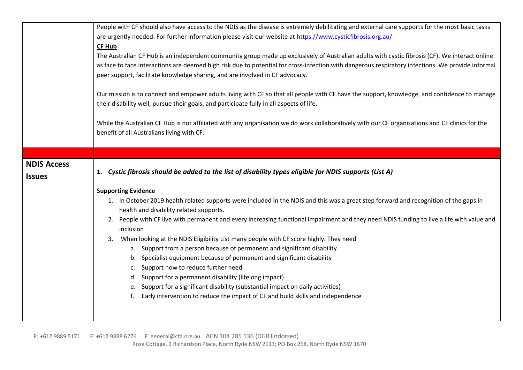|                                                                                             | People with CF should also have access to the NDIS as the disease is extremely debilitating and external care supports for the most basic tasks   |
|---------------------------------------------------------------------------------------------|---------------------------------------------------------------------------------------------------------------------------------------------------|
|                                                                                             | are urgently needed. For further information please visit our website at https://www.cysticfibrosis.org.au/                                       |
| CF Hub                                                                                      |                                                                                                                                                   |
|                                                                                             | The Australian CF Hub is an independent community group made up exclusively of Australian adults with cystic fibrosis (CF). We interact online    |
|                                                                                             | as face to face interactions are deemed high risk due to potential for cross-infection with dangerous respiratory infections. We provide informal |
| peer support, facilitate knowledge sharing, and are involved in CF advocacy.                |                                                                                                                                                   |
|                                                                                             |                                                                                                                                                   |
|                                                                                             | Our mission is to connect and empower adults living with CF so that all people with CF have the support, knowledge, and confidence to manage      |
| their disability well, pursue their goals, and participate fully in all aspects of life.    |                                                                                                                                                   |
|                                                                                             | While the Australian CF Hub is not affiliated with any organisation we do work collaboratively with our CF organisations and CF clinics for the   |
| benefit of all Australians living with CF.                                                  |                                                                                                                                                   |
|                                                                                             |                                                                                                                                                   |
|                                                                                             |                                                                                                                                                   |
| <b>NDIS Access</b>                                                                          |                                                                                                                                                   |
| <b>Issues</b>                                                                               | 1. Cystic fibrosis should be added to the list of disability types eligible for NDIS supports (List A)                                            |
| <b>Supporting Evidence</b>                                                                  |                                                                                                                                                   |
|                                                                                             |                                                                                                                                                   |
| health and disability related supports.                                                     | 1. In October 2019 health related supports were included in the NDIS and this was a great step forward and recognition of the gaps in             |
| 2.                                                                                          | People with CF live with permanent and every increasing functional impairment and they need NDIS funding to live a life with value and            |
| inclusion                                                                                   |                                                                                                                                                   |
| When looking at the NDIS Eligibility List many people with CF score highly. They need<br>3. |                                                                                                                                                   |
| a. Support from a person because of permanent and significant disability                    |                                                                                                                                                   |
| b. Specialist equipment because of permanent and significant disability                     |                                                                                                                                                   |
| c. Support now to reduce further need                                                       |                                                                                                                                                   |
| d. Support for a permanent disability (lifelong impact)                                     |                                                                                                                                                   |
| e. Support for a significant disability (substantial impact on daily activities)            |                                                                                                                                                   |
| f.                                                                                          | Early intervention to reduce the impact of CF and build skills and independence                                                                   |
|                                                                                             |                                                                                                                                                   |
|                                                                                             |                                                                                                                                                   |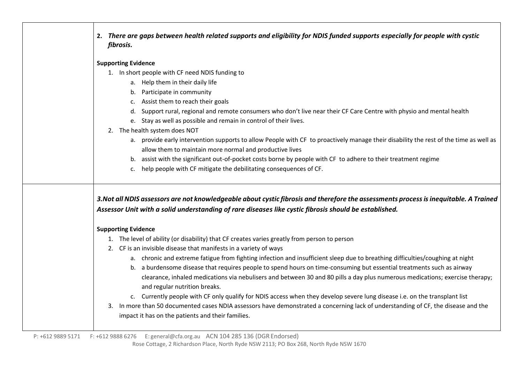| 2. There are gaps between health related supports and eligibility for NDIS funded supports especially for people with cystic<br>fibrosis.                                                                                                      |
|------------------------------------------------------------------------------------------------------------------------------------------------------------------------------------------------------------------------------------------------|
| <b>Supporting Evidence</b>                                                                                                                                                                                                                     |
| 1. In short people with CF need NDIS funding to                                                                                                                                                                                                |
| a. Help them in their daily life                                                                                                                                                                                                               |
| b. Participate in community                                                                                                                                                                                                                    |
| c. Assist them to reach their goals                                                                                                                                                                                                            |
| d. Support rural, regional and remote consumers who don't live near their CF Care Centre with physio and mental health                                                                                                                         |
| e. Stay as well as possible and remain in control of their lives.                                                                                                                                                                              |
| 2. The health system does NOT                                                                                                                                                                                                                  |
| a. provide early intervention supports to allow People with CF to proactively manage their disability the rest of the time as well as                                                                                                          |
| allow them to maintain more normal and productive lives                                                                                                                                                                                        |
| b. assist with the significant out-of-pocket costs borne by people with CF to adhere to their treatment regime                                                                                                                                 |
| help people with CF mitigate the debilitating consequences of CF.<br>c.                                                                                                                                                                        |
| 3. Not all NDIS assessors are not knowledgeable about cystic fibrosis and therefore the assessments process is inequitable. A Trained<br>Assessor Unit with a solid understanding of rare diseases like cystic fibrosis should be established. |
| <b>Supporting Evidence</b>                                                                                                                                                                                                                     |
| 1. The level of ability (or disability) that CF creates varies greatly from person to person                                                                                                                                                   |
| 2. CF is an invisible disease that manifests in a variety of ways                                                                                                                                                                              |
| a. chronic and extreme fatigue from fighting infection and insufficient sleep due to breathing difficulties/coughing at night                                                                                                                  |
| b. a burdensome disease that requires people to spend hours on time-consuming but essential treatments such as airway                                                                                                                          |
| clearance, inhaled medications via nebulisers and between 30 and 80 pills a day plus numerous medications; exercise therapy;                                                                                                                   |
| and regular nutrition breaks.                                                                                                                                                                                                                  |
| c. Currently people with CF only qualify for NDIS access when they develop severe lung disease i.e. on the transplant list                                                                                                                     |
| 3. In more than 50 documented cases NDIA assessors have demonstrated a concerning lack of understanding of CF, the disease and the                                                                                                             |
| impact it has on the patients and their families.                                                                                                                                                                                              |
|                                                                                                                                                                                                                                                |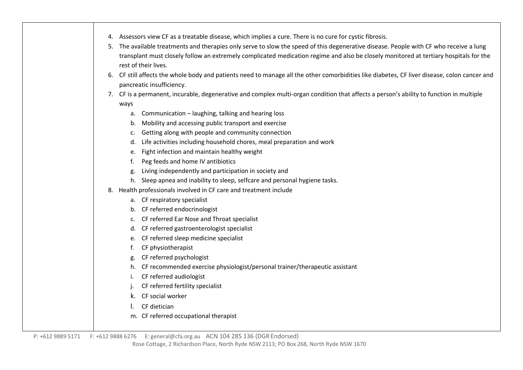|  | 4. Assessors view CF as a treatable disease, which implies a cure. There is no cure for cystic fibrosis. |  |
|--|----------------------------------------------------------------------------------------------------------|--|
|--|----------------------------------------------------------------------------------------------------------|--|

- 5. The available treatments and therapies only serve to slow the speed of this degenerative disease. People with CF who receive a lung transplant must closely follow an extremely complicated medication regime and also be closely monitored at tertiary hospitals for the rest of their lives.
- 6. CF still affects the whole body and patients need to manage all the other comorbidities like diabetes, CF liver disease, colon cancer and pancreatic insufficiency.
- 7. CF is a permanent, incurable, degenerative and complex multi-organ condition that affects a person's ability to function in multiple ways
	- a. Communication laughing, talking and hearing loss
	- b. Mobility and accessing public transport and exercise
	- c. Getting along with people and community connection
	- d. Life activities including household chores, meal preparation and work
	- e. Fight infection and maintain healthy weight
	- f. Peg feeds and home IV antibiotics
	- g. Living independently and participation in society and
	- h. Sleep apnea and inability to sleep, selfcare and personal hygiene tasks.
- 8. Health professionals involved in CF care and treatment include
	- a. CF respiratory specialist
	- b. CF referred endocrinologist
	- c. CF referred Ear Nose and Throat specialist
	- d. CF referred gastroenterologist specialist
	- e. CF referred sleep medicine specialist
	- f. CF physiotherapist
	- g. CF referred psychologist
	- h. CF recommended exercise physiologist/personal trainer/therapeutic assistant
	- i. CF referred audiologist
	- CF referred fertility specialist
	- k. CF social worker
	- l. CF dietician
	- m. CF referred occupational therapist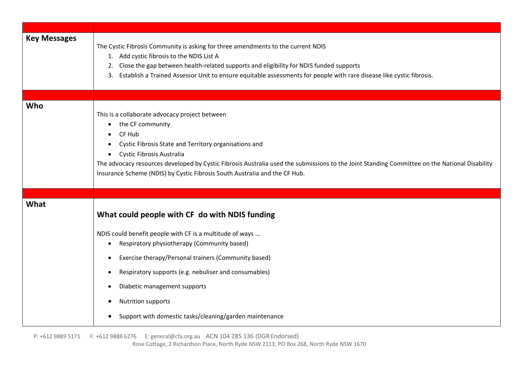| The Cystic Fibrosis Community is asking for three amendments to the current NDIS<br>1. Add cystic fibrosis to the NDIS List A<br>2. Close the gap between health-related supports and eligibility for NDIS funded supports<br>3. Establish a Trained Assessor Unit to ensure equitable assessments for people with rare disease like cystic fibrosis.                                                                                                  |
|--------------------------------------------------------------------------------------------------------------------------------------------------------------------------------------------------------------------------------------------------------------------------------------------------------------------------------------------------------------------------------------------------------------------------------------------------------|
|                                                                                                                                                                                                                                                                                                                                                                                                                                                        |
| This is a collaborate advocacy project between<br>the CF community<br>$\bullet$<br>CF Hub<br>Cystic Fibrosis State and Territory organisations and<br>Cystic Fibrosis Australia<br>$\bullet$<br>The advocacy resources developed by Cystic Fibrosis Australia used the submissions to the Joint Standing Committee on the National Disability<br>Insurance Scheme (NDIS) by Cystic Fibrosis South Australia and the CF Hub.                            |
|                                                                                                                                                                                                                                                                                                                                                                                                                                                        |
| What could people with CF do with NDIS funding<br>NDIS could benefit people with CF is a multitude of ways<br>Respiratory physiotherapy (Community based)<br>$\bullet$<br>Exercise therapy/Personal trainers (Community based)<br>$\bullet$<br>Respiratory supports (e.g. nebuliser and consumables)<br>$\bullet$<br>Diabetic management supports<br>$\bullet$<br><b>Nutrition supports</b><br>Support with domestic tasks/cleaning/garden maintenance |
|                                                                                                                                                                                                                                                                                                                                                                                                                                                        |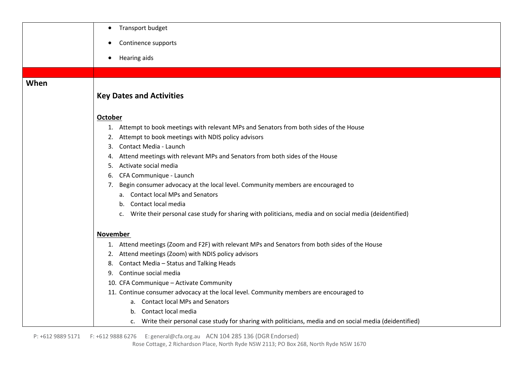|      | Transport budget<br>$\bullet$                                                                                           |
|------|-------------------------------------------------------------------------------------------------------------------------|
|      | Continence supports                                                                                                     |
|      |                                                                                                                         |
|      | Hearing aids<br>$\bullet$                                                                                               |
|      |                                                                                                                         |
| When |                                                                                                                         |
|      | <b>Key Dates and Activities</b>                                                                                         |
|      |                                                                                                                         |
|      | <b>October</b>                                                                                                          |
|      | 1. Attempt to book meetings with relevant MPs and Senators from both sides of the House                                 |
|      | 2. Attempt to book meetings with NDIS policy advisors                                                                   |
|      | Contact Media - Launch<br>3.                                                                                            |
|      | Attend meetings with relevant MPs and Senators from both sides of the House<br>4.                                       |
|      | Activate social media<br>5.                                                                                             |
|      | CFA Communique - Launch                                                                                                 |
|      | 7. Begin consumer advocacy at the local level. Community members are encouraged to<br>a. Contact local MPs and Senators |
|      | b. Contact local media                                                                                                  |
|      | c. Write their personal case study for sharing with politicians, media and on social media (deidentified)               |
|      |                                                                                                                         |
|      | <b>November</b>                                                                                                         |
|      | 1. Attend meetings (Zoom and F2F) with relevant MPs and Senators from both sides of the House                           |
|      | 2. Attend meetings (Zoom) with NDIS policy advisors                                                                     |
|      | 8. Contact Media - Status and Talking Heads                                                                             |
|      | 9. Continue social media                                                                                                |
|      | 10. CFA Communique - Activate Community                                                                                 |
|      | 11. Continue consumer advocacy at the local level. Community members are encouraged to                                  |
|      | a. Contact local MPs and Senators                                                                                       |
|      | b. Contact local media                                                                                                  |
|      | c. Write their personal case study for sharing with politicians, media and on social media (deidentified)               |

P: +612 9889 5171 F: +612 9888 6276 E: [general@cfa.org.au](mailto:general@cfa.org.au) ACN 104 285 136 (DGR Endorsed)

Rose Cottage, 2 Richardson Place, North Ryde NSW 2113; PO Box 268, North Ryde NSW 1670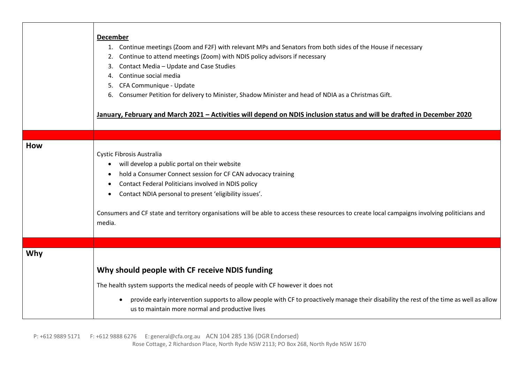|            | <b>December</b><br>1. Continue meetings (Zoom and F2F) with relevant MPs and Senators from both sides of the House if necessary<br>Continue to attend meetings (Zoom) with NDIS policy advisors if necessary<br>Contact Media - Update and Case Studies<br>3.<br>Continue social media<br>4.<br>CFA Communique - Update<br>5.<br>Consumer Petition for delivery to Minister, Shadow Minister and head of NDIA as a Christmas Gift.<br>6.<br>January, February and March 2021 - Activities will depend on NDIS inclusion status and will be drafted in December 2020 |
|------------|---------------------------------------------------------------------------------------------------------------------------------------------------------------------------------------------------------------------------------------------------------------------------------------------------------------------------------------------------------------------------------------------------------------------------------------------------------------------------------------------------------------------------------------------------------------------|
|            |                                                                                                                                                                                                                                                                                                                                                                                                                                                                                                                                                                     |
| <b>How</b> | Cystic Fibrosis Australia<br>will develop a public portal on their website<br>$\bullet$<br>hold a Consumer Connect session for CF CAN advocacy training<br>Contact Federal Politicians involved in NDIS policy<br>Contact NDIA personal to present 'eligibility issues'.<br>$\bullet$<br>Consumers and CF state and territory organisations will be able to access these resources to create local campaigns involving politicians and<br>media.                                                                                                                    |
|            |                                                                                                                                                                                                                                                                                                                                                                                                                                                                                                                                                                     |
| Why        |                                                                                                                                                                                                                                                                                                                                                                                                                                                                                                                                                                     |
|            | Why should people with CF receive NDIS funding                                                                                                                                                                                                                                                                                                                                                                                                                                                                                                                      |
|            | The health system supports the medical needs of people with CF however it does not                                                                                                                                                                                                                                                                                                                                                                                                                                                                                  |
|            | provide early intervention supports to allow people with CF to proactively manage their disability the rest of the time as well as allow<br>$\bullet$<br>us to maintain more normal and productive lives                                                                                                                                                                                                                                                                                                                                                            |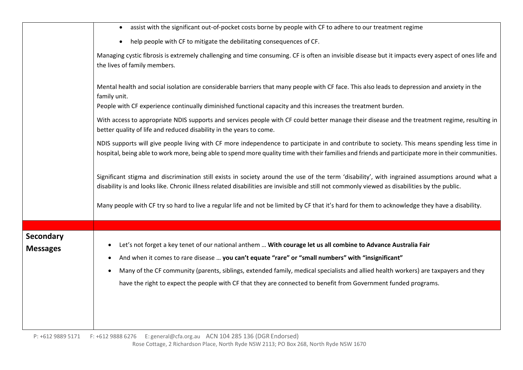|                                     | assist with the significant out-of-pocket costs borne by people with CF to adhere to our treatment regime<br>$\bullet$                                                                                                                                                                               |
|-------------------------------------|------------------------------------------------------------------------------------------------------------------------------------------------------------------------------------------------------------------------------------------------------------------------------------------------------|
|                                     | help people with CF to mitigate the debilitating consequences of CF.<br>$\bullet$                                                                                                                                                                                                                    |
|                                     | Managing cystic fibrosis is extremely challenging and time consuming. CF is often an invisible disease but it impacts every aspect of ones life and<br>the lives of family members.                                                                                                                  |
|                                     | Mental health and social isolation are considerable barriers that many people with CF face. This also leads to depression and anxiety in the<br>family unit.                                                                                                                                         |
|                                     | People with CF experience continually diminished functional capacity and this increases the treatment burden.                                                                                                                                                                                        |
|                                     | With access to appropriate NDIS supports and services people with CF could better manage their disease and the treatment regime, resulting in<br>better quality of life and reduced disability in the years to come.                                                                                 |
|                                     | NDIS supports will give people living with CF more independence to participate in and contribute to society. This means spending less time in<br>hospital, being able to work more, being able to spend more quality time with their families and friends and participate more in their communities. |
|                                     | Significant stigma and discrimination still exists in society around the use of the term 'disability', with ingrained assumptions around what a<br>disability is and looks like. Chronic illness related disabilities are invisible and still not commonly viewed as disabilities by the public.     |
|                                     | Many people with CF try so hard to live a regular life and not be limited by CF that it's hard for them to acknowledge they have a disability.                                                                                                                                                       |
|                                     |                                                                                                                                                                                                                                                                                                      |
| <b>Secondary</b><br><b>Messages</b> | Let's not forget a key tenet of our national anthem  With courage let us all combine to Advance Australia Fair<br>And when it comes to rare disease  you can't equate "rare" or "small numbers" with "insignificant"                                                                                 |
|                                     | Many of the CF community (parents, siblings, extended family, medical specialists and allied health workers) are taxpayers and they                                                                                                                                                                  |
|                                     | have the right to expect the people with CF that they are connected to benefit from Government funded programs.                                                                                                                                                                                      |
|                                     |                                                                                                                                                                                                                                                                                                      |

 P: +612 9889 5171 F: +612 9888 6276 E: [general@cfa.org.au](mailto:general@cfa.org.au) ACN 104 285 136 (DGR Endorsed) Rose Cottage, 2 Richardson Place, North Ryde NSW 2113; PO Box 268, North Ryde NSW 1670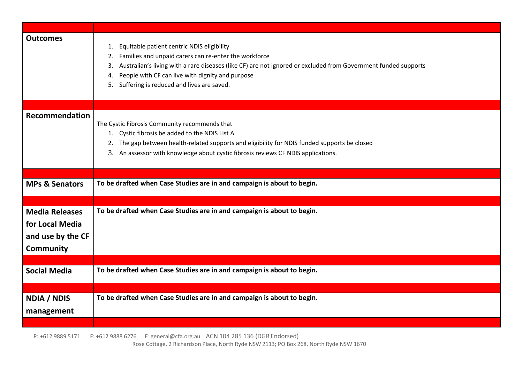| <b>Outcomes</b>           | Equitable patient centric NDIS eligibility<br>1.<br>Families and unpaid carers can re-enter the workforce<br>2.<br>Australian's living with a rare diseases (like CF) are not ignored or excluded from Government funded supports<br>3.<br>People with CF can live with dignity and purpose<br>4.<br>5. Suffering is reduced and lives are saved. |
|---------------------------|---------------------------------------------------------------------------------------------------------------------------------------------------------------------------------------------------------------------------------------------------------------------------------------------------------------------------------------------------|
| Recommendation            | The Cystic Fibrosis Community recommends that<br>1. Cystic fibrosis be added to the NDIS List A<br>2. The gap between health-related supports and eligibility for NDIS funded supports be closed<br>3. An assessor with knowledge about cystic fibrosis reviews CF NDIS applications.                                                             |
|                           |                                                                                                                                                                                                                                                                                                                                                   |
| <b>MPs &amp; Senators</b> | To be drafted when Case Studies are in and campaign is about to begin.                                                                                                                                                                                                                                                                            |
|                           |                                                                                                                                                                                                                                                                                                                                                   |
| <b>Media Releases</b>     | To be drafted when Case Studies are in and campaign is about to begin.                                                                                                                                                                                                                                                                            |
| for Local Media           |                                                                                                                                                                                                                                                                                                                                                   |
| and use by the CF         |                                                                                                                                                                                                                                                                                                                                                   |
| <b>Community</b>          |                                                                                                                                                                                                                                                                                                                                                   |
|                           |                                                                                                                                                                                                                                                                                                                                                   |
|                           |                                                                                                                                                                                                                                                                                                                                                   |
| <b>Social Media</b>       | To be drafted when Case Studies are in and campaign is about to begin.                                                                                                                                                                                                                                                                            |
|                           |                                                                                                                                                                                                                                                                                                                                                   |
| <b>NDIA / NDIS</b>        | To be drafted when Case Studies are in and campaign is about to begin.                                                                                                                                                                                                                                                                            |
|                           |                                                                                                                                                                                                                                                                                                                                                   |
| management                |                                                                                                                                                                                                                                                                                                                                                   |
|                           |                                                                                                                                                                                                                                                                                                                                                   |

P: +612 9889 5171 F: +612 9888 6276 E: [general@cfa.org.au](mailto:general@cfa.org.au) ACN 104 285 136 (DGR Endorsed)

Rose Cottage, 2 Richardson Place, North Ryde NSW 2113; PO Box 268, North Ryde NSW 1670